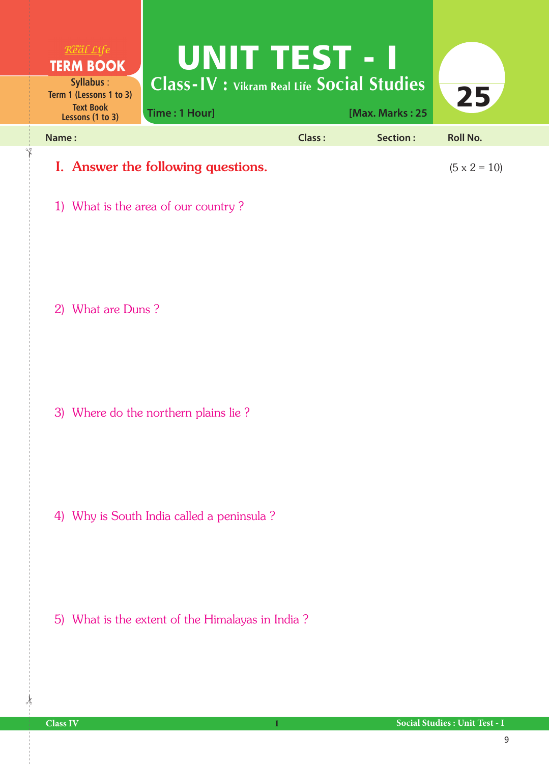| Real Life<br><b>TERM BOOK</b>                                                | <b>LUNIT E 155 FETI</b>                                            |        |                 |                     |  |
|------------------------------------------------------------------------------|--------------------------------------------------------------------|--------|-----------------|---------------------|--|
| Syllabus:<br>Term 1 (Lessons 1 to 3)<br><b>Text Book</b><br>Lessons (1 to 3) | <b>Class-IV</b> : Vikram Real Life Social Studies<br>Time: 1 Hour] |        | [Max. Marks: 25 | 25                  |  |
| Name:                                                                        |                                                                    | Class: | Section:        | <b>Roll No.</b>     |  |
| I. Answer the following questions.                                           |                                                                    |        |                 | $(5 \times 2 = 10)$ |  |

1) What is the area of our country ?

2) What are Duns ?

3) Where do the northern plains lie ?

4) Why is South India called a peninsula ?

5) What is the extent of the Himalayas in India ?

 $\frac{1}{2}$ 

✁